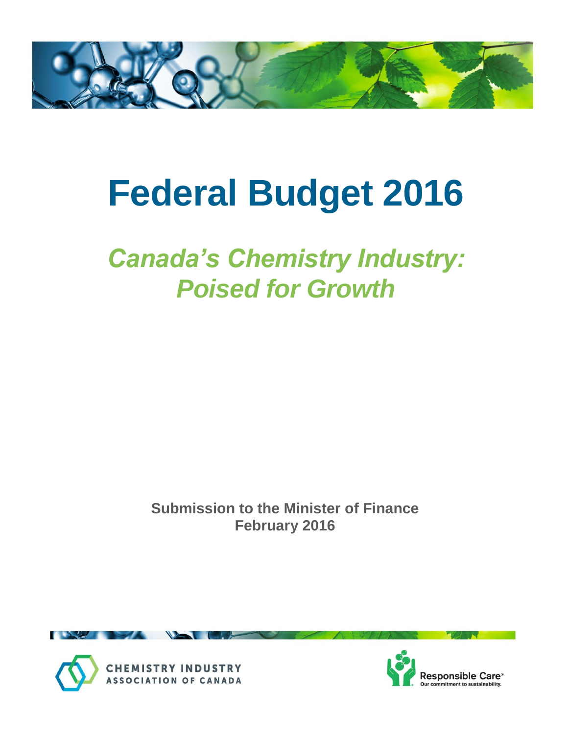

# **Federal Budget 2016**

## *Canada's Chemistry Industry: Poised for Growth*

**Submission to the Minister of Finance February 2016**





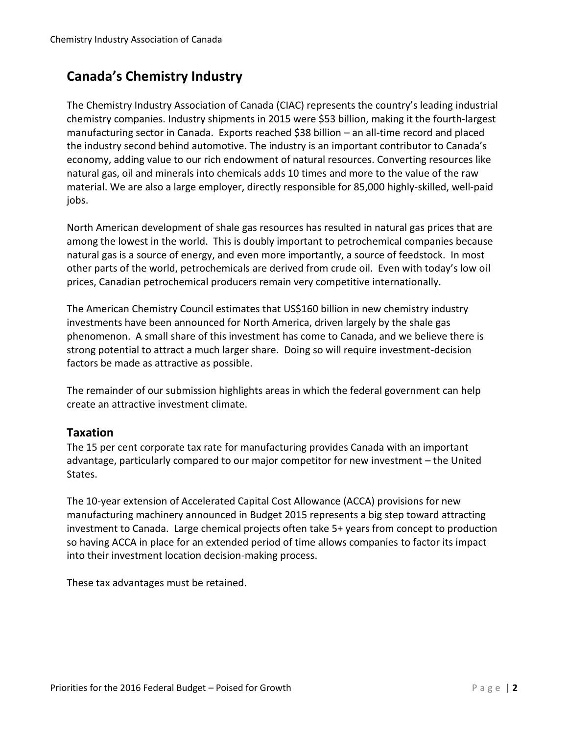### **Canada's Chemistry Industry**

The Chemistry Industry Association of Canada (CIAC) represents the country's leading industrial chemistry companies. Industry shipments in 2015 were \$53 billion, making it the fourth-largest manufacturing sector in Canada. Exports reached \$38 billion – an all-time record and placed the industry second behind automotive. The industry is an important contributor to Canada's economy, adding value to our rich endowment of natural resources. Converting resources like natural gas, oil and minerals into chemicals adds 10 times and more to the value of the raw material. We are also a large employer, directly responsible for 85,000 highly-skilled, well-paid jobs.

North American development of shale gas resources has resulted in natural gas prices that are among the lowest in the world. This is doubly important to petrochemical companies because natural gas is a source of energy, and even more importantly, a source of feedstock. In most other parts of the world, petrochemicals are derived from crude oil. Even with today's low oil prices, Canadian petrochemical producers remain very competitive internationally.

The American Chemistry Council estimates that US\$160 billion in new chemistry industry investments have been announced for North America, driven largely by the shale gas phenomenon. A small share of this investment has come to Canada, and we believe there is strong potential to attract a much larger share. Doing so will require investment-decision factors be made as attractive as possible.

The remainder of our submission highlights areas in which the federal government can help create an attractive investment climate.

#### **Taxation**

The 15 per cent corporate tax rate for manufacturing provides Canada with an important advantage, particularly compared to our major competitor for new investment – the United States.

The 10-year extension of Accelerated Capital Cost Allowance (ACCA) provisions for new manufacturing machinery announced in Budget 2015 represents a big step toward attracting investment to Canada. Large chemical projects often take 5+ years from concept to production so having ACCA in place for an extended period of time allows companies to factor its impact into their investment location decision-making process.

These tax advantages must be retained.